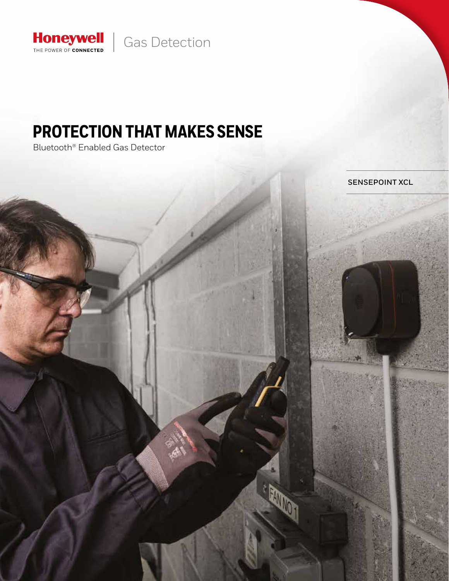

## **PROTECTION THAT MAKES SENSE**

Bluetooth® Enabled Gas Detector

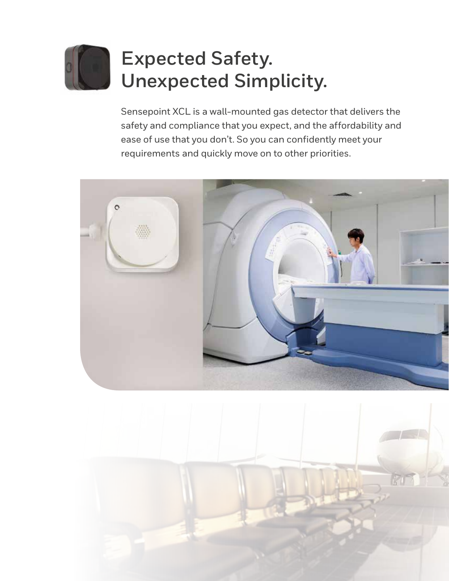# **Expected Safety. Unexpected Simplicity.**

Sensepoint XCL is a wall-mounted gas detector that delivers the safety and compliance that you expect, and the affordability and ease of use that you don't. So you can confidently meet your requirements and quickly move on to other priorities.



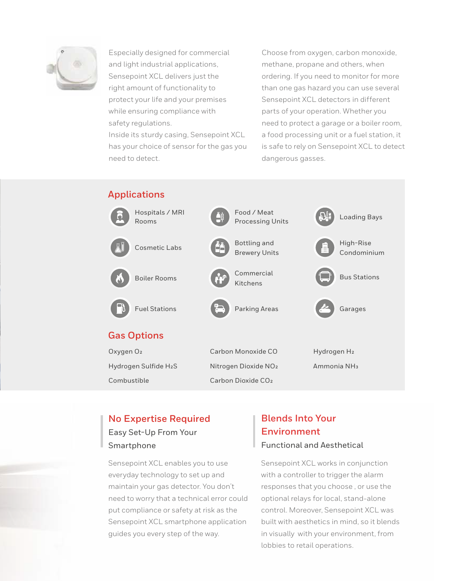

Especially designed for commercial and light industrial applications, Sensepoint XCL delivers just the right amount of functionality to protect your life and your premises while ensuring compliance with safety regulations.

Inside its sturdy casing, Sensepoint XCL has your choice of sensor for the gas you need to detect.

Choose from oxygen, carbon monoxide, methane, propane and others, when ordering. If you need to monitor for more than one gas hazard you can use several Sensepoint XCL detectors in different parts of your operation. Whether you need to protect a garage or a boiler room, a food processing unit or a fuel station, it is safe to rely on Sensepoint XCL to detect dangerous gasses.



### **No Expertise Required**

Easy Set-Up From Your Smartphone

Sensepoint XCL enables you to use everyday technology to set up and maintain your gas detector. You don't need to worry that a technical error could put compliance or safety at risk as the Sensepoint XCL smartphone application guides you every step of the way.

### **Blends Into Your Environment**  Functional and Aesthetical

Sensepoint XCL works in conjunction with a controller to trigger the alarm responses that you choose , or use the optional relays for local, stand-alone control. Moreover, Sensepoint XCL was built with aesthetics in mind, so it blends in visually with your environment, from lobbies to retail operations.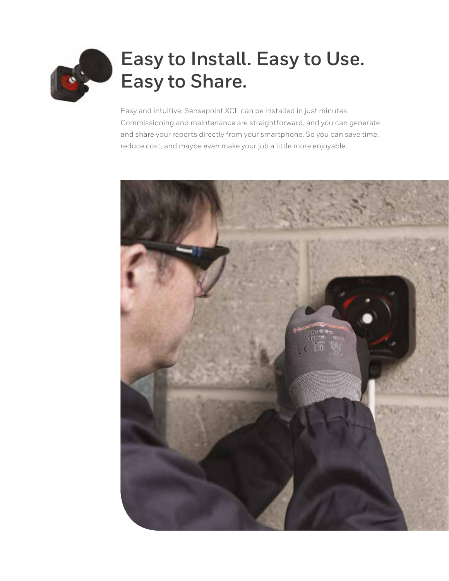

# **Easy to Install. Easy to Use. Easy to Share.**

Easy and intuitive, Sensepoint XCL can be installed in just minutes. Commissioning and maintenance are straightforward, and you can generate and share your reports directly from your smartphone. So you can save time, reduce cost, and maybe even make your job a little more enjoyable.

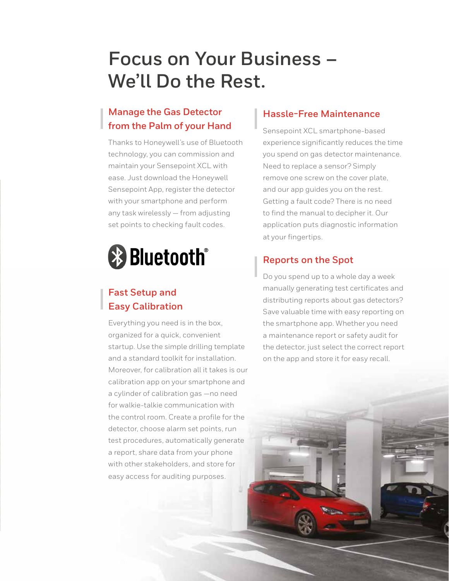# **Focus on Your Business – We'll Do the Rest.**

## **Manage the Gas Detector from the Palm of your Hand**

Thanks to Honeywell's use of Bluetooth technology, you can commission and maintain your Sensepoint XCL with ease. Just download the Honeywell Sensepoint App, register the detector with your smartphone and perform any task wirelessly — from adjusting set points to checking fault codes.



### **Fast Setup and Easy Calibration**

Everything you need is in the box, organized for a quick, convenient startup. Use the simple drilling template and a standard toolkit for installation. Moreover, for calibration all it takes is our calibration app on your smartphone and a cylinder of calibration gas —no need for walkie-talkie communication with the control room. Create a profile for the detector, choose alarm set points, run test procedures, automatically generate a report, share data from your phone with other stakeholders, and store for easy access for auditing purposes.

### **Hassle-Free Maintenance**

Sensepoint XCL smartphone-based experience significantly reduces the time you spend on gas detector maintenance. Need to replace a sensor? Simply remove one screw on the cover plate, and our app guides you on the rest. Getting a fault code? There is no need to find the manual to decipher it. Our application puts diagnostic information at your fingertips.

## **Reports on the Spot**

Do you spend up to a whole day a week manually generating test certificates and distributing reports about gas detectors? Save valuable time with easy reporting on the smartphone app. Whether you need a maintenance report or safety audit for the detector, just select the correct report on the app and store it for easy recall.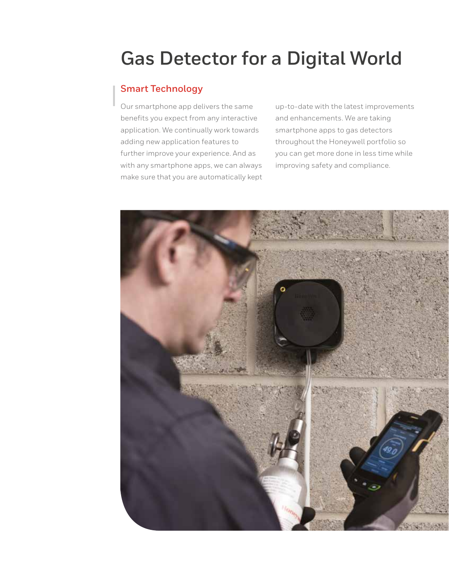# **Gas Detector for a Digital World**

### **Smart Technology**

Our smartphone app delivers the same benefits you expect from any interactive application. We continually work towards adding new application features to further improve your experience. And as with any smartphone apps, we can always make sure that you are automatically kept

up-to-date with the latest improvements and enhancements. We are taking smartphone apps to gas detectors throughout the Honeywell portfolio so you can get more done in less time while improving safety and compliance.

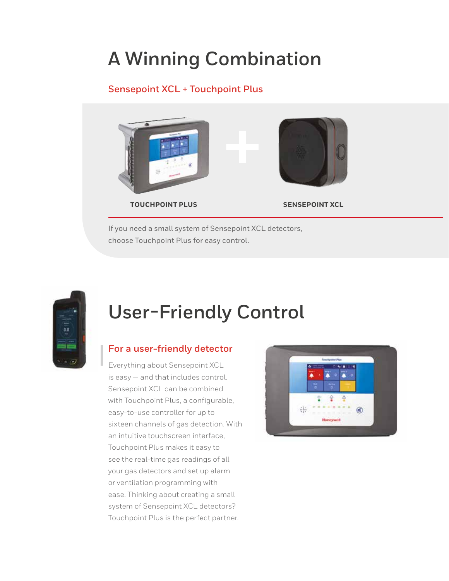# **A Winning Combination**

### **Sensepoint XCL + Touchpoint Plus**



If you need a small system of Sensepoint XCL detectors, choose Touchpoint Plus for easy control.



# **User-Friendly Control**

### **For a user-friendly detector**

Everything about Sensepoint XCL is easy — and that includes control. Sensepoint XCL can be combined with Touchpoint Plus, a configurable, easy-to-use controller for up to sixteen channels of gas detection. With an intuitive touchscreen interface, Touchpoint Plus makes it easy to see the real-time gas readings of all your gas detectors and set up alarm or ventilation programming with ease. Thinking about creating a small system of Sensepoint XCL detectors? Touchpoint Plus is the perfect partner.